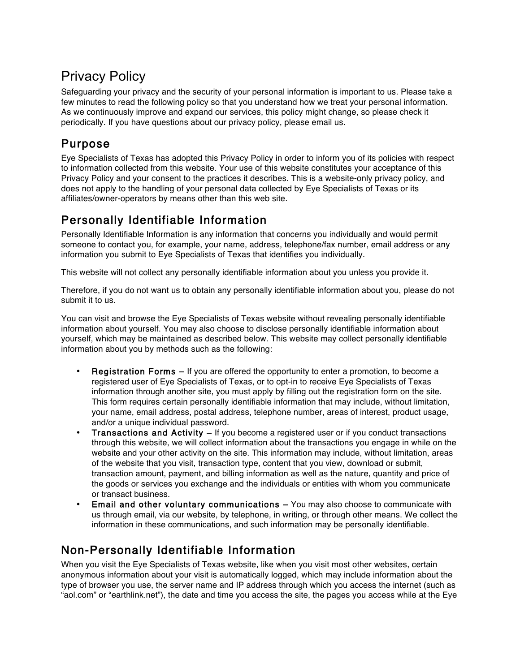# Privacy Policy

Safeguarding your privacy and the security of your personal information is important to us. Please take a few minutes to read the following policy so that you understand how we treat your personal information. As we continuously improve and expand our services, this policy might change, so please check it periodically. If you have questions about our privacy policy, please email us.

#### Purpose

Eye Specialists of Texas has adopted this Privacy Policy in order to inform you of its policies with respect to information collected from this website. Your use of this website constitutes your acceptance of this Privacy Policy and your consent to the practices it describes. This is a website-only privacy policy, and does not apply to the handling of your personal data collected by Eye Specialists of Texas or its affiliates/owner-operators by means other than this web site.

### Personally Identifiable Information

Personally Identifiable Information is any information that concerns you individually and would permit someone to contact you, for example, your name, address, telephone/fax number, email address or any information you submit to Eye Specialists of Texas that identifies you individually.

This website will not collect any personally identifiable information about you unless you provide it.

Therefore, if you do not want us to obtain any personally identifiable information about you, please do not submit it to us.

You can visit and browse the Eye Specialists of Texas website without revealing personally identifiable information about yourself. You may also choose to disclose personally identifiable information about yourself, which may be maintained as described below. This website may collect personally identifiable information about you by methods such as the following:

- Registration Forms If you are offered the opportunity to enter a promotion, to become a registered user of Eye Specialists of Texas, or to opt-in to receive Eye Specialists of Texas information through another site, you must apply by filling out the registration form on the site. This form requires certain personally identifiable information that may include, without limitation, your name, email address, postal address, telephone number, areas of interest, product usage, and/or a unique individual password.
- **Transactions and Activity If you become a registered user or if you conduct transactions** through this website, we will collect information about the transactions you engage in while on the website and your other activity on the site. This information may include, without limitation, areas of the website that you visit, transaction type, content that you view, download or submit, transaction amount, payment, and billing information as well as the nature, quantity and price of the goods or services you exchange and the individuals or entities with whom you communicate or transact business.
- Email and other voluntary communications You may also choose to communicate with us through email, via our website, by telephone, in writing, or through other means. We collect the information in these communications, and such information may be personally identifiable.

### Non-Personally Identifiable Information

When you visit the Eye Specialists of Texas website, like when you visit most other websites, certain anonymous information about your visit is automatically logged, which may include information about the type of browser you use, the server name and IP address through which you access the internet (such as "aol.com" or "earthlink.net"), the date and time you access the site, the pages you access while at the Eye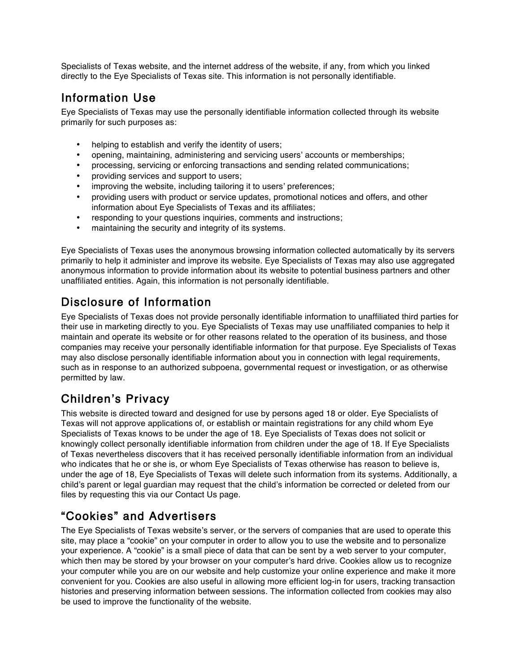Specialists of Texas website, and the internet address of the website, if any, from which you linked directly to the Eye Specialists of Texas site. This information is not personally identifiable.

#### Information Use

Eye Specialists of Texas may use the personally identifiable information collected through its website primarily for such purposes as:

- helping to establish and verify the identity of users;
- opening, maintaining, administering and servicing users' accounts or memberships;
- processing, servicing or enforcing transactions and sending related communications;
- providing services and support to users;
- improving the website, including tailoring it to users' preferences;
- providing users with product or service updates, promotional notices and offers, and other information about Eye Specialists of Texas and its affiliates;
- responding to your questions inquiries, comments and instructions;
- maintaining the security and integrity of its systems.

Eye Specialists of Texas uses the anonymous browsing information collected automatically by its servers primarily to help it administer and improve its website. Eye Specialists of Texas may also use aggregated anonymous information to provide information about its website to potential business partners and other unaffiliated entities. Again, this information is not personally identifiable.

#### Disclosure of Information

Eye Specialists of Texas does not provide personally identifiable information to unaffiliated third parties for their use in marketing directly to you. Eye Specialists of Texas may use unaffiliated companies to help it maintain and operate its website or for other reasons related to the operation of its business, and those companies may receive your personally identifiable information for that purpose. Eye Specialists of Texas may also disclose personally identifiable information about you in connection with legal requirements, such as in response to an authorized subpoena, governmental request or investigation, or as otherwise permitted by law.

### Children's Privacy

This website is directed toward and designed for use by persons aged 18 or older. Eye Specialists of Texas will not approve applications of, or establish or maintain registrations for any child whom Eye Specialists of Texas knows to be under the age of 18. Eye Specialists of Texas does not solicit or knowingly collect personally identifiable information from children under the age of 18. If Eye Specialists of Texas nevertheless discovers that it has received personally identifiable information from an individual who indicates that he or she is, or whom Eye Specialists of Texas otherwise has reason to believe is, under the age of 18, Eye Specialists of Texas will delete such information from its systems. Additionally, a child's parent or legal guardian may request that the child's information be corrected or deleted from our files by requesting this via our Contact Us page.

#### "Cookies" and Advertisers

The Eye Specialists of Texas website's server, or the servers of companies that are used to operate this site, may place a "cookie" on your computer in order to allow you to use the website and to personalize your experience. A "cookie" is a small piece of data that can be sent by a web server to your computer, which then may be stored by your browser on your computer's hard drive. Cookies allow us to recognize your computer while you are on our website and help customize your online experience and make it more convenient for you. Cookies are also useful in allowing more efficient log-in for users, tracking transaction histories and preserving information between sessions. The information collected from cookies may also be used to improve the functionality of the website.